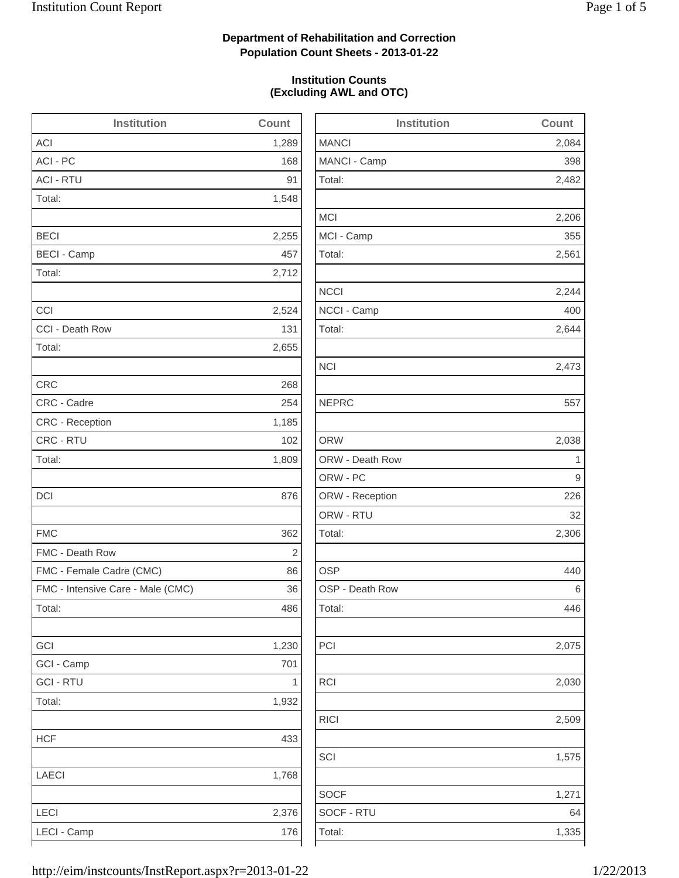2,482

2,206

2,244

2,473

2,306

2,075

2,509

1,575

## **Department of Rehabilitation and Correction Population Count Sheets - 2013-01-22**

### **Institution Counts (Excluding AWL and OTC)**

| <b>Institution</b>                | <b>Count</b> | Institution     | Count |
|-----------------------------------|--------------|-----------------|-------|
| ACI                               | 1,289        | <b>MANCI</b>    | 2,084 |
| ACI - PC                          | 168          | MANCI - Camp    | 398   |
| <b>ACI - RTU</b>                  | 91           | Total:          | 2,482 |
| Total:                            | 1,548        |                 |       |
|                                   |              | <b>MCI</b>      | 2,206 |
| <b>BECI</b>                       | 2,255        | MCI - Camp      | 355   |
| <b>BECI - Camp</b>                | 457          | Total:          | 2,561 |
| Total:                            | 2,712        |                 |       |
|                                   |              | <b>NCCI</b>     | 2,244 |
| CCI                               | 2,524        | NCCI - Camp     | 400   |
| CCI - Death Row                   | 131          | Total:          | 2,644 |
| Total:                            | 2,655        |                 |       |
|                                   |              | <b>NCI</b>      | 2,473 |
| <b>CRC</b>                        | 268          |                 |       |
| CRC - Cadre                       | 254          | <b>NEPRC</b>    | 557   |
| CRC - Reception                   | 1,185        |                 |       |
| CRC - RTU                         | 102          | <b>ORW</b>      | 2,038 |
| Total:                            | 1,809        | ORW - Death Row | 1     |
|                                   |              | ORW - PC        | 9     |
| <b>DCI</b>                        | 876          | ORW - Reception | 226   |
|                                   |              | ORW - RTU       | 32    |
| <b>FMC</b>                        | 362          | Total:          | 2,306 |
| FMC - Death Row                   | $\sqrt{2}$   |                 |       |
| FMC - Female Cadre (CMC)          | 86           | <b>OSP</b>      | 440   |
| FMC - Intensive Care - Male (CMC) | 36           | OSP - Death Row | 6     |
| Total:                            | 486          | Total:          | 446   |
| GCI                               | 1,230        | PCI             | 2,075 |
| GCI - Camp                        | 701          |                 |       |
| <b>GCI - RTU</b>                  | $\mathbf{1}$ | RCI             | 2,030 |
| Total:                            | 1,932        |                 |       |
|                                   |              | RICI            | 2,509 |
| <b>HCF</b>                        | 433          |                 |       |
|                                   |              | SCI             | 1,575 |
| LAECI                             | 1,768        |                 |       |
|                                   |              | <b>SOCF</b>     | 1,271 |
| LECI                              | 2,376        | SOCF - RTU      | 64    |
| LECI - Camp                       | 176          | Total:          | 1,335 |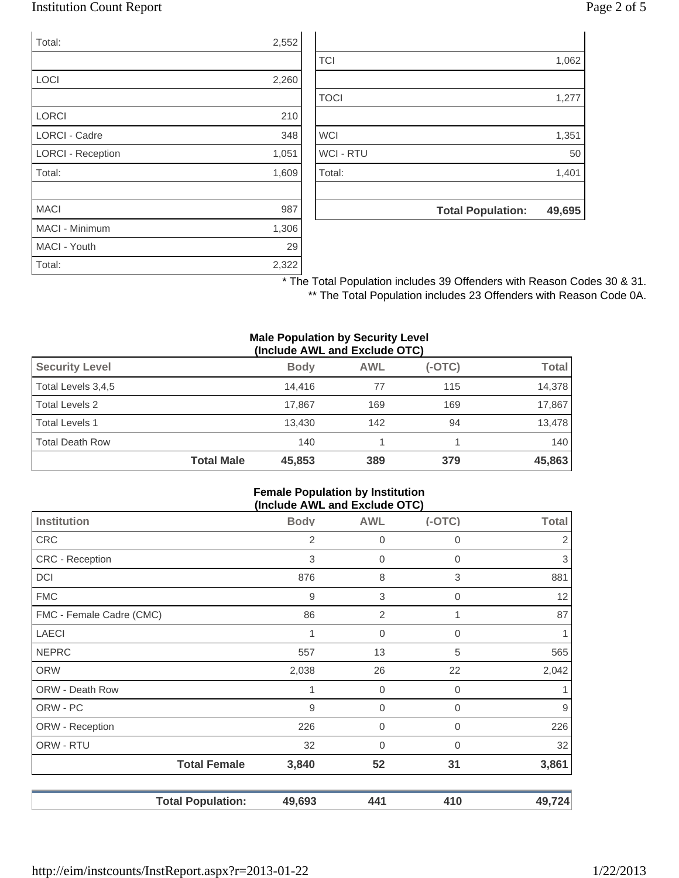## Institution Count Report Page 2 of 5

| Total:                   | 2,552 |
|--------------------------|-------|
|                          |       |
| LOCI                     | 2,260 |
|                          |       |
| <b>LORCI</b>             | 210   |
| <b>LORCI - Cadre</b>     | 348   |
| <b>LORCI - Reception</b> | 1,051 |
| Total:                   | 1,609 |
|                          |       |
| <b>MACI</b>              | 987   |
| <b>MACI - Minimum</b>    | 1,306 |
| MACI - Youth             | 29    |
| Total:                   | 2,322 |

|                  | <b>Total Population:</b> | 49,695 |
|------------------|--------------------------|--------|
|                  |                          |        |
| Total:           |                          | 1,401  |
| <b>WCI - RTU</b> |                          | 50     |
| <b>WCI</b>       |                          | 1,351  |
|                  |                          |        |
| <b>TOCI</b>      |                          | 1,277  |
|                  |                          |        |
| <b>TCI</b>       |                          | 1,062  |

\* The Total Population includes 39 Offenders with Reason Codes 30 & 31. \*\* The Total Population includes 23 Offenders with Reason Code 0A.

#### **Male Population by Security Level (Include AWL and Exclude OTC)**

| <b>Security Level</b>  |                   | <b>Body</b> | <b>AWL</b> | $(-OTC)$ | Total  |
|------------------------|-------------------|-------------|------------|----------|--------|
| Total Levels 3,4,5     |                   | 14.416      | 77         | 115      | 14,378 |
| Total Levels 2         |                   | 17.867      | 169        | 169      | 17,867 |
| <b>Total Levels 1</b>  |                   | 13.430      | 142        | 94       | 13,478 |
| <b>Total Death Row</b> |                   | 140         |            |          | 140    |
|                        | <b>Total Male</b> | 45,853      | 389        | 379      | 45,863 |

#### **Female Population by Institution (Include AWL and Exclude OTC)**

| <b>Institution</b>       | <b>Body</b> | <b>AWL</b>  | $(-OTC)$     | <b>Total</b>     |
|--------------------------|-------------|-------------|--------------|------------------|
| <b>CRC</b>               | 2           | 0           | 0            | 2                |
| <b>CRC</b> - Reception   | 3           | $\mathbf 0$ | $\mathbf 0$  | $\mathfrak{S}$   |
| DCI                      | 876         | 8           | 3            | 881              |
| <b>FMC</b>               | 9           | 3           | 0            | 12               |
| FMC - Female Cadre (CMC) | 86          | 2           | 1            | 87               |
| <b>LAECI</b>             |             | $\mathbf 0$ | $\mathbf 0$  | 1.               |
| <b>NEPRC</b>             | 557         | 13          | 5            | 565              |
| <b>ORW</b>               | 2,038       | 26          | 22           | 2,042            |
| ORW - Death Row          |             | $\mathbf 0$ | 0            | 1.               |
| ORW - PC                 | 9           | $\mathbf 0$ | $\Omega$     | $\boldsymbol{9}$ |
| ORW - Reception          | 226         | 0           | $\mathbf{0}$ | 226              |
| ORW - RTU                | 32          | 0           | 0            | 32               |
| <b>Total Female</b>      | 3,840       | 52          | 31           | 3,861            |
| <b>Total Population:</b> | 49,693      | 441         | 410          | 49,724           |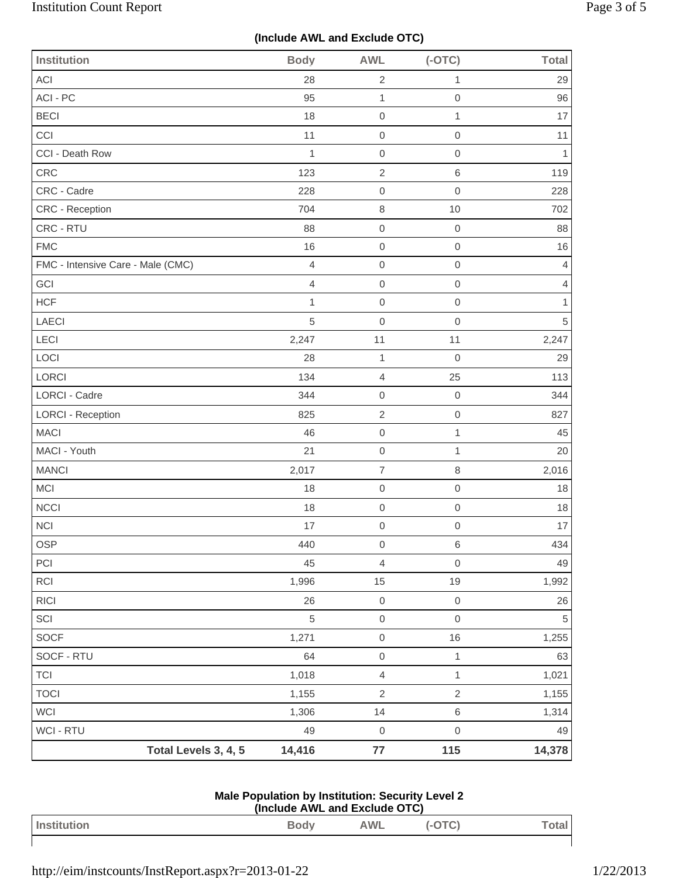# **(Include AWL and Exclude OTC)**

| <b>Institution</b>                | <b>Body</b>    | <b>AWL</b>          | $(-OTC)$            | <b>Total</b>   |
|-----------------------------------|----------------|---------------------|---------------------|----------------|
| ACI                               | 28             | $\overline{c}$      | $\mathbf{1}$        | 29             |
| ACI - PC                          | 95             | $\mathbf{1}$        | $\mathbf 0$         | 96             |
| <b>BECI</b>                       | 18             | $\mathbf 0$         | $\mathbf{1}$        | 17             |
| CCI                               | 11             | $\mathsf{O}\xspace$ | $\mathbf 0$         | 11             |
| CCI - Death Row                   | $\mathbf{1}$   | $\mathbf 0$         | $\mathbf 0$         | 1              |
| CRC                               | 123            | $\overline{2}$      | $\,6\,$             | 119            |
| CRC - Cadre                       | 228            | $\mathbf 0$         | $\mathbf 0$         | 228            |
| <b>CRC - Reception</b>            | 704            | $\,8\,$             | $10$                | 702            |
| CRC - RTU                         | 88             | $\mathsf{O}\xspace$ | $\boldsymbol{0}$    | 88             |
| <b>FMC</b>                        | 16             | $\mathbf 0$         | $\mathbf 0$         | 16             |
| FMC - Intensive Care - Male (CMC) | $\overline{4}$ | $\mathbf 0$         | $\mathbf 0$         | 4              |
| GCI                               | 4              | $\mathbf 0$         | $\mathbf 0$         | $\overline{4}$ |
| <b>HCF</b>                        | $\mathbf{1}$   | $\mathbf 0$         | $\mbox{O}$          | 1              |
| LAECI                             | 5              | $\mathbf 0$         | $\mathbf 0$         | $\sqrt{5}$     |
| LECI                              | 2,247          | 11                  | 11                  | 2,247          |
| LOCI                              | 28             | 1                   | $\mathbf 0$         | 29             |
| LORCI                             | 134            | $\overline{4}$      | 25                  | 113            |
| LORCI - Cadre                     | 344            | $\mathsf 0$         | $\mathbf 0$         | 344            |
| <b>LORCI - Reception</b>          | 825            | $\sqrt{2}$          | $\mathsf{O}\xspace$ | 827            |
| <b>MACI</b>                       | 46             | $\mathsf 0$         | $\mathbf{1}$        | 45             |
| MACI - Youth                      | 21             | $\mathbf 0$         | $\mathbf{1}$        | 20             |
| <b>MANCI</b>                      | 2,017          | $\boldsymbol{7}$    | $\,8\,$             | 2,016          |
| MCI                               | 18             | $\mathbf 0$         | $\mathbf 0$         | 18             |
| NCCI                              | 18             | $\mathsf{O}\xspace$ | $\mathbf 0$         | 18             |
| <b>NCI</b>                        | 17             | $\mathsf 0$         | $\mathbf 0$         | 17             |
| OSP                               | 440            | $\,0\,$             | $\,$ 6 $\,$         | 434            |
| PCI                               | 45             | $\overline{4}$      | $\mathbf 0$         | 49             |
| RCI                               | 1,996          | 15                  | $19$                | 1,992          |
| <b>RICI</b>                       | 26             | $\mathsf{O}\xspace$ | $\,0\,$             | 26             |
| SCI                               | 5              | $\mathsf{O}\xspace$ | $\mathbf 0$         | 5              |
| <b>SOCF</b>                       | 1,271          | $\mathsf{O}\xspace$ | $16$                | 1,255          |
| SOCF - RTU                        | 64             | $\mathsf{O}\xspace$ | $\mathbf{1}$        | 63             |
| <b>TCI</b>                        | 1,018          | $\overline{4}$      | $\mathbf{1}$        | 1,021          |
| <b>TOCI</b>                       | 1,155          | $\sqrt{2}$          | $\sqrt{2}$          | 1,155          |
| <b>WCI</b>                        | 1,306          | 14                  | $\,6$               | 1,314          |
| WCI - RTU                         | 49             | $\mathbf 0$         | $\,0\,$             | 49             |
| Total Levels 3, 4, 5              | 14,416         | $77$                | 115                 | 14,378         |

| <b>Male Population by Institution: Security Level 2</b> |  |
|---------------------------------------------------------|--|
| (Include AWL and Exclude OTC)                           |  |

| Institution | <b>Body</b> | AWL | $\ddotsc$<br> | lai |
|-------------|-------------|-----|---------------|-----|
|             |             |     |               |     |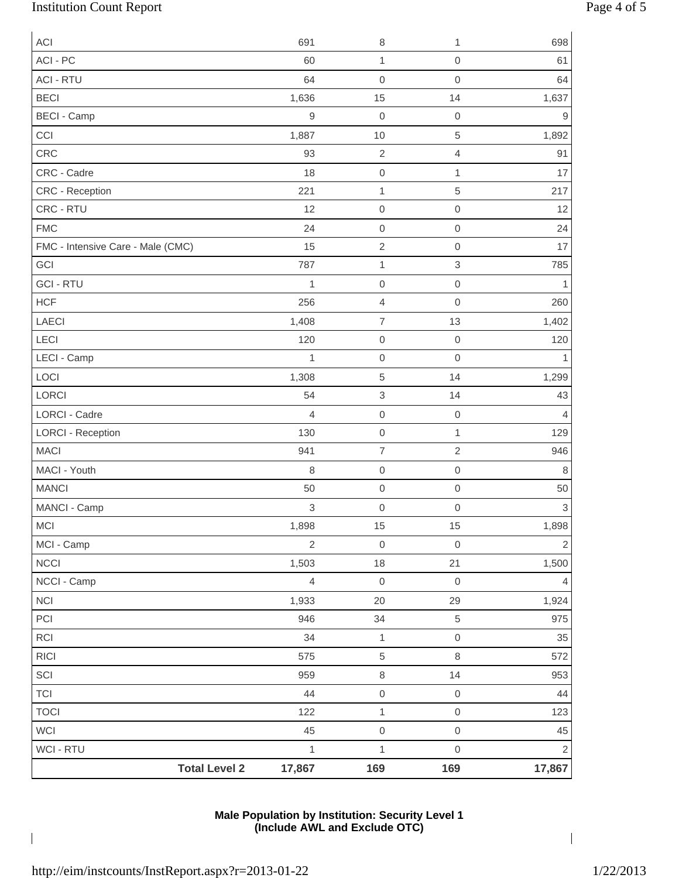# Institution Count Report Page 4 of 5

| <b>ACI</b>                        | 691              | $\,8\,$             | 1                   | 698                       |
|-----------------------------------|------------------|---------------------|---------------------|---------------------------|
| ACI - PC                          | 60               | 1                   | $\mbox{O}$          | 61                        |
| <b>ACI - RTU</b>                  | 64               | $\mathbf 0$         | $\mathsf{O}\xspace$ | 64                        |
| <b>BECI</b>                       | 1,636            | 15                  | 14                  | 1,637                     |
| <b>BECI - Camp</b>                | $\boldsymbol{9}$ | $\mathbf 0$         | $\mbox{O}$          | 9                         |
| CCI                               | 1,887            | 10                  | 5                   | 1,892                     |
| CRC                               | 93               | $\sqrt{2}$          | 4                   | 91                        |
| CRC - Cadre                       | 18               | $\mbox{O}$          | $\mathbf{1}$        | 17                        |
| CRC - Reception                   | 221              | 1                   | 5                   | 217                       |
| CRC - RTU                         | 12               | $\mathbf 0$         | $\mbox{O}$          | 12                        |
| <b>FMC</b>                        | 24               | $\mbox{O}$          | $\mathsf{O}\xspace$ | 24                        |
| FMC - Intensive Care - Male (CMC) | 15               | $\sqrt{2}$          | $\mathbf 0$         | 17                        |
| GCI                               | 787              | 1                   | $\,$ 3 $\,$         | 785                       |
| <b>GCI - RTU</b>                  | $\mathbf{1}$     | $\mbox{O}$          | $\mbox{O}$          | 1                         |
| <b>HCF</b>                        | 256              | $\overline{4}$      | $\mathsf{O}\xspace$ | 260                       |
| LAECI                             | 1,408            | $\boldsymbol{7}$    | 13                  | 1,402                     |
| LECI                              | 120              | $\boldsymbol{0}$    | $\mathbf 0$         | 120                       |
| LECI - Camp                       | $\mathbf{1}$     | $\mathbf 0$         | $\mathsf{O}\xspace$ |                           |
| LOCI                              | 1,308            | $\sqrt{5}$          | 14                  | 1,299                     |
| LORCI                             | 54               | 3                   | 14                  | 43                        |
| <b>LORCI - Cadre</b>              | $\overline{4}$   | $\mathbf 0$         | $\mathsf{O}\xspace$ | 4                         |
| <b>LORCI - Reception</b>          | 130              | $\mbox{O}$          | $\mathbf{1}$        | 129                       |
| <b>MACI</b>                       | 941              | 7                   | $\sqrt{2}$          | 946                       |
| MACI - Youth                      | 8                | $\mbox{O}$          | $\mbox{O}$          | 8                         |
| <b>MANCI</b>                      | 50               | $\mathbf 0$         | $\mbox{O}$          | 50                        |
| MANCI - Camp                      | 3                | $\mbox{O}$          | $\mathsf{O}\xspace$ | $\ensuremath{\mathsf{3}}$ |
| <b>MCI</b>                        | 1,898            | 15                  | 15                  | 1,898                     |
| MCI - Camp                        | $\sqrt{2}$       | $\mbox{O}$          | $\mbox{O}$          | $\sqrt{2}$                |
| NCCI                              | 1,503            | 18                  | 21                  | 1,500                     |
| NCCI - Camp                       | $\overline{4}$   | $\mathbf 0$         | $\mathbf 0$         | 4                         |
| NCI                               | 1,933            | 20                  | 29                  | 1,924                     |
| PCI                               | 946              | 34                  | $\,$ 5 $\,$         | 975                       |
| RCI                               | 34               | $\mathbf 1$         | $\mathbf 0$         | 35                        |
| <b>RICI</b>                       | 575              | $\sqrt{5}$          | $\,8\,$             | 572                       |
| SCI                               | 959              | $\,8\,$             | 14                  | 953                       |
| <b>TCI</b>                        | 44               | $\mathsf{O}\xspace$ | $\mathbf 0$         | 44                        |
| <b>TOCI</b>                       | 122              | $\mathbf{1}$        | $\mathbf 0$         | 123                       |
| WCI                               | 45               | $\mathsf{O}\xspace$ | $\mathbf 0$         | 45                        |
| WCI - RTU                         | $\mathbf{1}$     | $\mathbf 1$         | $\mathsf{O}\xspace$ | $\mathbf 2$               |
| <b>Total Level 2</b>              | 17,867           | 169                 | 169                 | 17,867                    |

### **Male Population by Institution: Security Level 1 (Include AWL and Exclude OTC)**

 $\overline{\phantom{a}}$